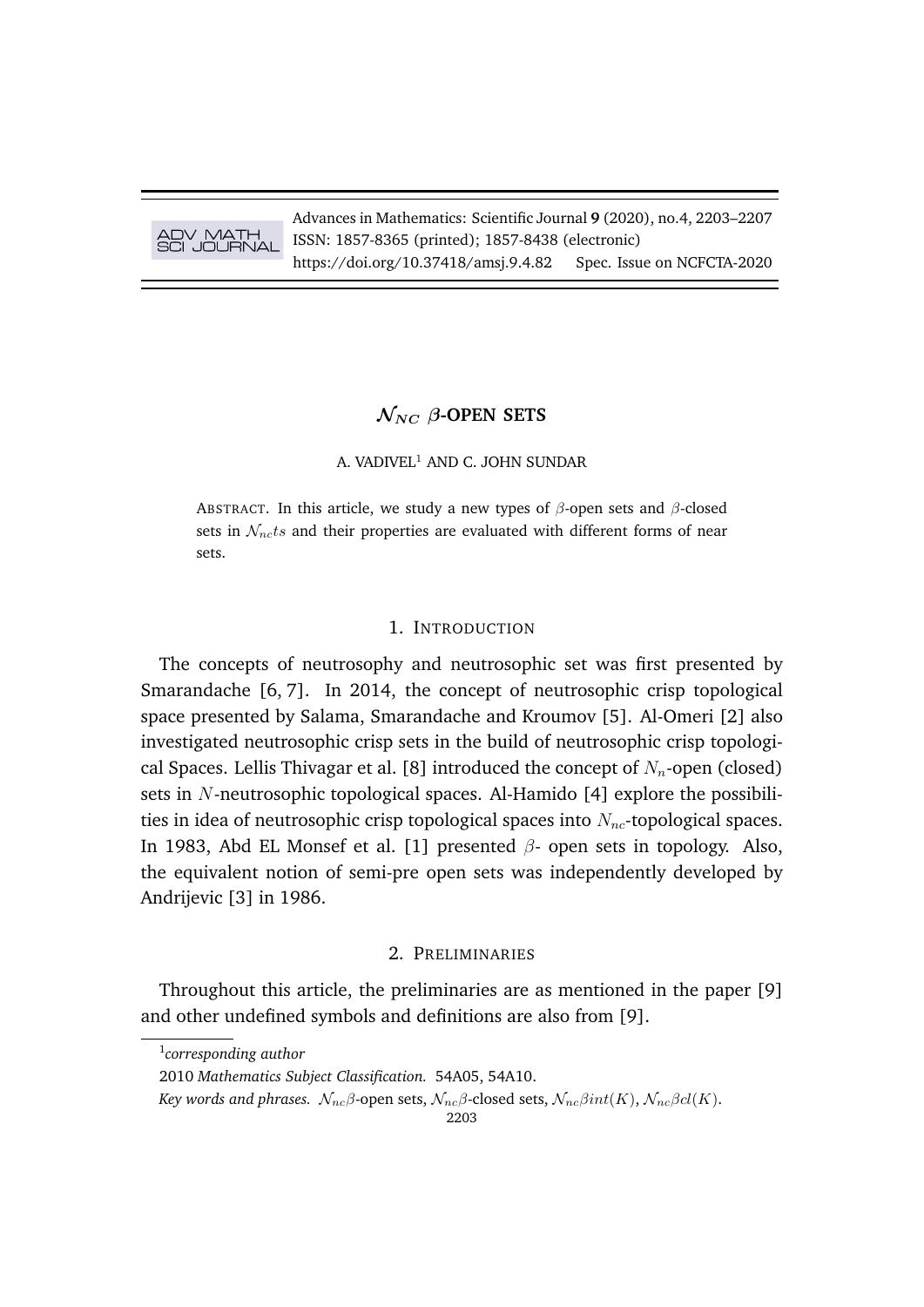# ADV MATH SCI JOURNAL

Advances in Mathematics: Scientific Journal **9** (2020), no.4, 2203–2207 ISSN: 1857-8365 (printed); 1857-8438 (electronic) https://doi.org/10.37418/amsj.9.4.82 Spec. Issue on NCFCTA-2020

# $\mathcal{N}_{NC}$   $\beta$ -OPEN SETS

#### A. VADIVEL<sup>1</sup> AND C. JOHN SUNDAR

ABSTRACT. In this article, we study a new types of  $\beta$ -open sets and  $\beta$ -closed sets in  $\mathcal{N}_{nc}$ ts and their properties are evaluated with different forms of near sets.

### 1. INTRODUCTION

The concepts of neutrosophy and neutrosophic set was first presented by Smarandache [6, 7]. In 2014, the concept of neutrosophic crisp topological space presented by Salama, Smarandache and Kroumov [5]. Al-Omeri [2] also investigated neutrosophic crisp sets in the build of neutrosophic crisp topological Spaces. Lellis Thivagar et al. [8] introduced the concept of  $N_n$ -open (closed) sets in N-neutrosophic topological spaces. Al-Hamido [4] explore the possibilities in idea of neutrosophic crisp topological spaces into  $N_{nc}$ -topological spaces. In 1983, Abd EL Monsef et al. [1] presented  $\beta$ - open sets in topology. Also, the equivalent notion of semi-pre open sets was independently developed by Andrijevic [3] in 1986.

#### 2. PRELIMINARIES

Throughout this article, the preliminaries are as mentioned in the paper [9] and other undefined symbols and definitions are also from [9].

1 *corresponding author*

<sup>2010</sup> *Mathematics Subject Classification.* 54A05, 54A10.

*Key words and phrases.*  $\mathcal{N}_{nc}\beta$ -open sets,  $\mathcal{N}_{nc}\beta$ -closed sets,  $\mathcal{N}_{nc}\beta int(K)$ ,  $\mathcal{N}_{nc}\beta cl(K)$ .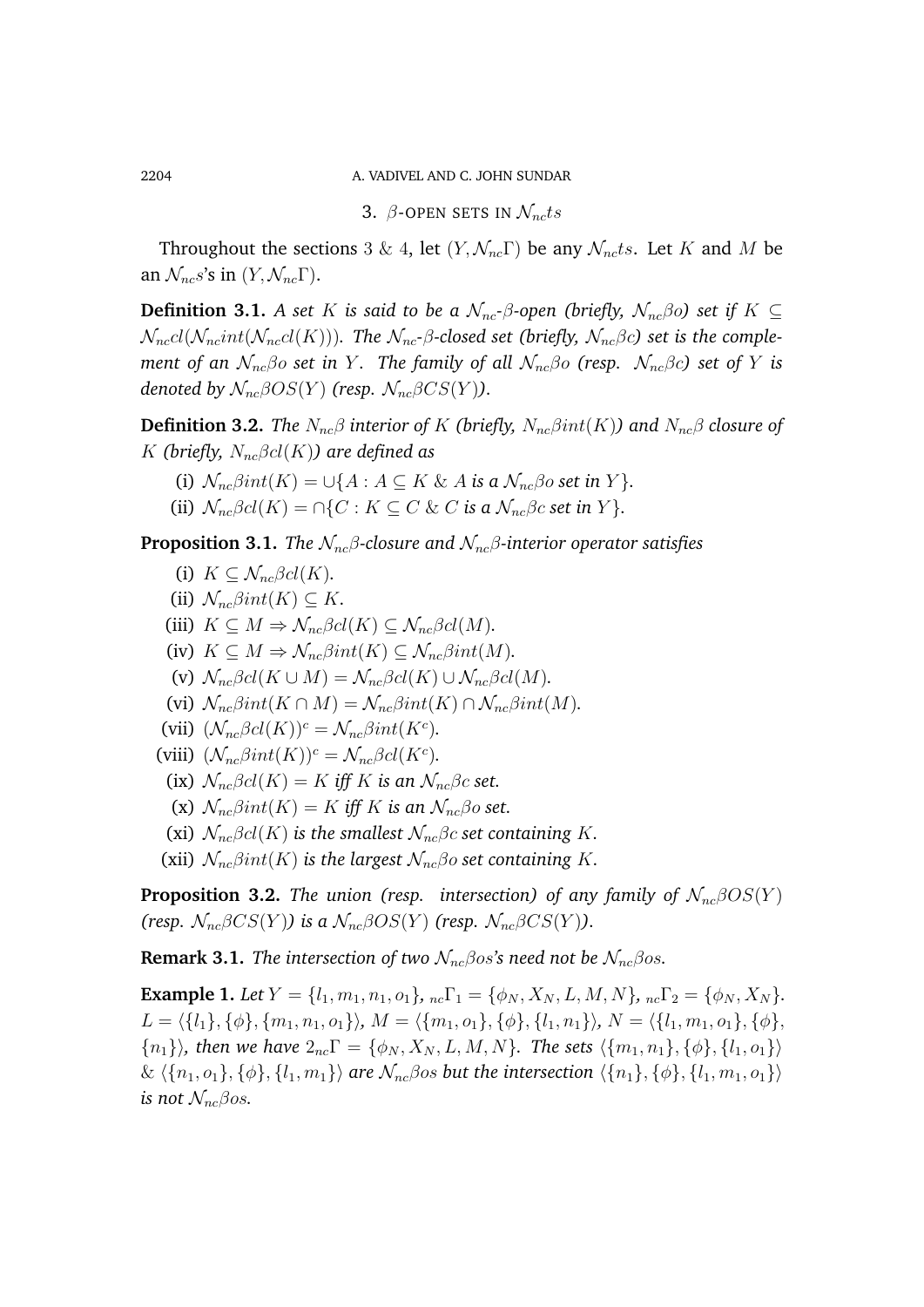2204 A. VADIVEL AND C. JOHN SUNDAR

3.  $\beta$ -OPEN SETS IN  $\mathcal{N}_{nc}$ ts

Throughout the sections 3 & 4, let  $(Y, \mathcal{N}_{nc} \Gamma)$  be any  $\mathcal{N}_{nc}$ ts. Let K and M be an  $\mathcal{N}_{nc}s$ 's in  $(Y, \mathcal{N}_{nc}\Gamma)$ .

**Definition 3.1.** *A set* K *is said to be a*  $\mathcal{N}_{nc}$ *-β*-open (briefly,  $\mathcal{N}_{nc}$ *βo*) set if K  $\subseteq$  $\mathcal{N}_{nc}cl(\mathcal{N}_{nc}int(\mathcal{N}_{nc}cl(K)))$ . The  $\mathcal{N}_{nc}$ -*β*-closed set (briefly,  $\mathcal{N}_{nc}$ *βc*) set is the comple*ment of an*  $\mathcal{N}_{nc}\beta o$  *set in* Y. *The family of all*  $\mathcal{N}_{nc}\beta o$  *(resp.*  $\mathcal{N}_{nc}\beta c$ *) set of* Y *is denoted by*  $\mathcal{N}_{nc}\beta OS(Y)$  (resp.  $\mathcal{N}_{nc}\beta CS(Y)$ ).

**Definition 3.2.** *The*  $N_{nc}\beta$  *interior of* K *(briefly,*  $N_{nc}\beta int(K)$ *)* and  $N_{nc}\beta$  *closure of* K (briefly,  $N_{nc}\beta cl(K)$ ) are defined as

- (i)  $\mathcal{N}_{nc}\beta int(K) = \bigcup \{A : A \subseteq K \& A \text{ is a } \mathcal{N}_{nc}\beta \text{ or set in } Y\}.$
- (ii)  $\mathcal{N}_{nc}\beta cl(K) = \bigcap \{C : K \subseteq C \& C \text{ is a } \mathcal{N}_{nc}\beta c \text{ set in } Y\}.$

**Proposition 3.1.** *The*  $\mathcal{N}_{nc}\beta$ -closure and  $\mathcal{N}_{nc}\beta$ -interior operator satisfies

- (i)  $K \subset \mathcal{N}_{nc} \beta cl(K)$ .
- (ii)  $\mathcal{N}_{nc}\beta int(K) \subseteq K$ .
- (iii)  $K \subseteq M \Rightarrow \mathcal{N}_{nc} \beta cl(K) \subseteq \mathcal{N}_{nc} \beta cl(M)$ .
- (iv)  $K \subseteq M \Rightarrow \mathcal{N}_{nc}\beta int(K) \subseteq \mathcal{N}_{nc}\beta int(M)$ .
- (v)  $\mathcal{N}_{nc}\beta cl(K \cup M) = \mathcal{N}_{nc}\beta cl(K) \cup \mathcal{N}_{nc}\beta cl(M)$ .
- (vi)  $\mathcal{N}_{nc}\beta int(K \cap M) = \mathcal{N}_{nc}\beta int(K) \cap \mathcal{N}_{nc}\beta int(M)$ .
- (vii)  $(\mathcal{N}_{nc}\beta cl(K))^c = \mathcal{N}_{nc}\beta int(K^c)$ *.*
- (viii)  $(\mathcal{N}_{nc}\beta int(K))^c = \mathcal{N}_{nc}\beta cl(K^c)$ *.* 
	- (ix)  $\mathcal{N}_{nc}\beta cl(K) = K$  *iff* K *is an*  $\mathcal{N}_{nc}\beta c$  *set.*
	- (x)  $\mathcal{N}_{nc}\beta int(K) = K$  *iff* K *is an*  $\mathcal{N}_{nc}\beta o$  *set.*
	- (xi)  $\mathcal{N}_{nc}\beta cl(K)$  *is the smallest*  $\mathcal{N}_{nc}\beta c$  *set containing* K.
- (xii)  $\mathcal{N}_{nc}\beta int(K)$  *is the largest*  $\mathcal{N}_{nc}\beta o$  *set containing* K.

**Proposition 3.2.** *The union (resp. intersection) of any family of*  $\mathcal{N}_{nc}\beta OS(Y)$ *(resp.*  $\mathcal{N}_{nc}\beta CS(Y)$ *)* is a  $\mathcal{N}_{nc}\beta OS(Y)$  *(resp.*  $\mathcal{N}_{nc}\beta CS(Y)$ *).* 

**Remark 3.1.** *The intersection of two*  $\mathcal{N}_{nc}\beta$ *os*'s need not be  $\mathcal{N}_{nc}\beta$ *os.* 

**Example 1.** *Let*  $Y = \{l_1, m_1, n_1, o_1\}$ ,  ${}_{nc}\Gamma_1 = \{\phi_N, X_N, L, M, N\}$ ,  ${}_{nc}\Gamma_2 = \{\phi_N, X_N\}$ . L = h{l1}, {φ}, {m1, n1, o1}i*,* M = h{m1, o1}, {φ}, {l1, n1}i*,* N = h{l1, m1, o1}, {φ},  ${n_1}\rangle$ *, then we have*  $2_{nc}\Gamma = {\phi_N, X_N, L, M, N}$ *. The sets*  $\langle {m_1, n_1}, { \phi}, {l_1, o_1} \rangle$  $\& \langle \{n_1, o_1\}, \{\phi\}, \{l_1, m_1\} \rangle$  *are*  $\mathcal{N}_{nc}$  *foos but the intersection*  $\langle \{n_1\}, \{\phi\}, \{l_1, m_1, o_1\} \rangle$ *is not*  $\mathcal{N}_{nc}\beta$ *os.*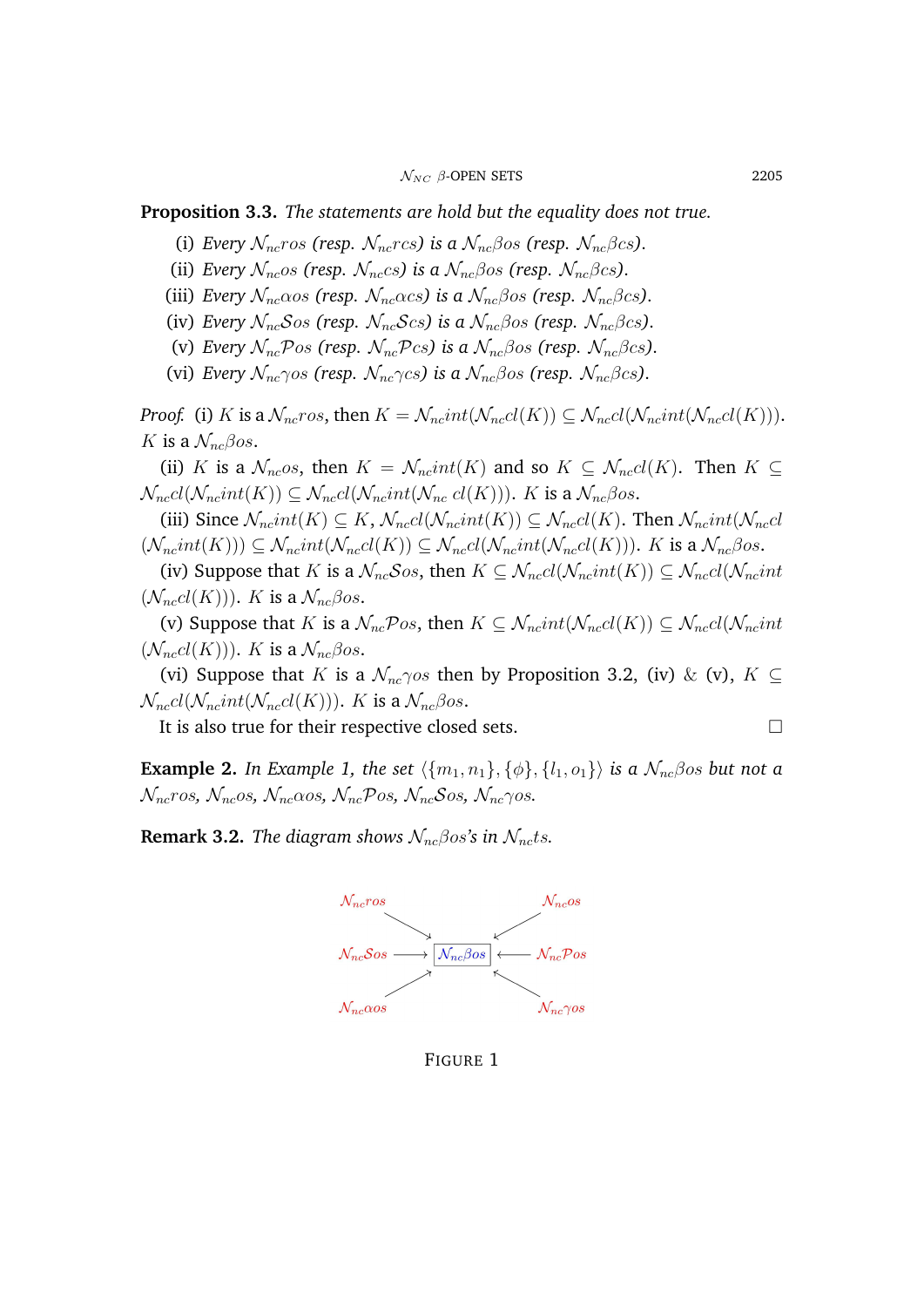## **Proposition 3.3.** *The statements are hold but the equality does not true.*

- (i) *Every*  $\mathcal{N}_{nc}$ ros (resp.  $\mathcal{N}_{nc}$ rcs) is a  $\mathcal{N}_{nc}$  $\beta$ os (resp.  $\mathcal{N}_{nc}$  $\beta$ cs).
- (ii) *Every*  $\mathcal{N}_{nc}$ os (resp.  $\mathcal{N}_{nc}$ cs) is a  $\mathcal{N}_{nc}$  $\beta$ os (resp.  $\mathcal{N}_{nc}$  $\beta$ cs).
- (iii) *Every*  $\mathcal{N}_{nc}\alpha$ os (resp.  $\mathcal{N}_{nc}\alpha$ cs) is a  $\mathcal{N}_{nc}\beta$ os (resp.  $\mathcal{N}_{nc}\beta$ cs).
- (iv) *Every*  $\mathcal{N}_{nc}\mathcal{S}_{OS}$  (resp.  $\mathcal{N}_{nc}\mathcal{S}_{CS}$ ) is a  $\mathcal{N}_{nc}\beta_{OS}$  (resp.  $\mathcal{N}_{nc}\beta_{CS}$ ).
- (v) *Every*  $\mathcal{N}_{nc}$ Pos (resp.  $\mathcal{N}_{nc}$ Pcs) is a  $\mathcal{N}_{nc}$  $\beta$ os (resp.  $\mathcal{N}_{nc}$  $\beta$ cs).
- (vi) *Every*  $\mathcal{N}_{nc}\gamma$ os (resp.  $\mathcal{N}_{nc}\gamma$ cs) is a  $\mathcal{N}_{nc}\beta$ os (resp.  $\mathcal{N}_{nc}\beta$ cs).

*Proof.* (i) K is a  $\mathcal{N}_{nc}$ ros, then  $K = \mathcal{N}_{nc}int(\mathcal{N}_{nc}cl(\mathcal{N}_{nc}lnt(\mathcal{N}_{nc}cl(K))).$ K is a  $\mathcal{N}_{nc}\beta$ os.

(ii) K is a  $\mathcal{N}_{nc}$ os, then  $K = \mathcal{N}_{nc} int(K)$  and so  $K \subset \mathcal{N}_{nc} cl(K)$ . Then  $K \subset$  $\mathcal{N}_{nccl}(\mathcal{N}_{nc}int(K)) \subseteq \mathcal{N}_{nccl}(\mathcal{N}_{nc}int(\mathcal{N}_{nc}cl(K))).$  K is a  $\mathcal{N}_{nc}\beta$ os.

(iii) Since  $\mathcal{N}_{nc}int(K) \subseteq K$ ,  $\mathcal{N}_{nc}cl(\mathcal{N}_{nc}int(K)) \subseteq \mathcal{N}_{nc}cl(K)$ . Then  $\mathcal{N}_{nc}int(\mathcal{N}_{nc}cl(K))$  $(\mathcal{N}_n\text{c}int(K))) \subseteq \mathcal{N}_n\text{c}int(\mathcal{N}_n\text{c}cl(\mathcal{N}_n\text{c}int(\mathcal{N}_n\text{c}cl(K))).$  K is a  $\mathcal{N}_n\beta$ os.

(iv) Suppose that K is a  $\mathcal{N}_{nc}$ Sos, then  $K \subseteq \mathcal{N}_{nccl}(\mathcal{N}_{nc}int(K)) \subseteq \mathcal{N}_{nccl}(\mathcal{N}_{nc}int(K))$  $(\mathcal{N}_{nc}cl(K))$ ). K is a  $\mathcal{N}_{nc}\beta$ os.

(v) Suppose that K is a  $\mathcal{N}_{nc}$ Pos, then  $K \subseteq \mathcal{N}_{nc}$ int $(\mathcal{N}_{nc}$ cl $(K)) \subseteq \mathcal{N}_{nc}$ cl $(\mathcal{N}_{nc}$ int  $(\mathcal{N}_{nc}cl(K))$ ). K is a  $\mathcal{N}_{nc}\beta$ os.

(vi) Suppose that K is a  $\mathcal{N}_{nc}$  os then by Proposition 3.2, (iv) & (v),  $K \subseteq$  $\mathcal{N}_{nccl}(\mathcal{N}_{nc}int(\mathcal{N}_{nc}cl(K)))$ . K is a  $\mathcal{N}_{nc}\beta$ os.

It is also true for their respective closed sets.

**Example 2.** *In Example 1, the set*  $\{\{m_1, n_1\}, \{\phi\}, \{l_1, o_1\}\}\)$  *is a*  $\mathcal{N}_{nc}$ *βos but not a*  $\mathcal{N}_{nc}$ ros,  $\mathcal{N}_{nc}$ os,  $\mathcal{N}_{nc} \alpha$ os,  $\mathcal{N}_{nc} \beta$ os,  $\mathcal{N}_{nc} \beta$ os,  $\mathcal{N}_{nc} \gamma$ os.

**Remark 3.2.** *The diagram shows*  $\mathcal{N}_{nc}\beta$ os's in  $\mathcal{N}_{nc}$ ts.



FIGURE 1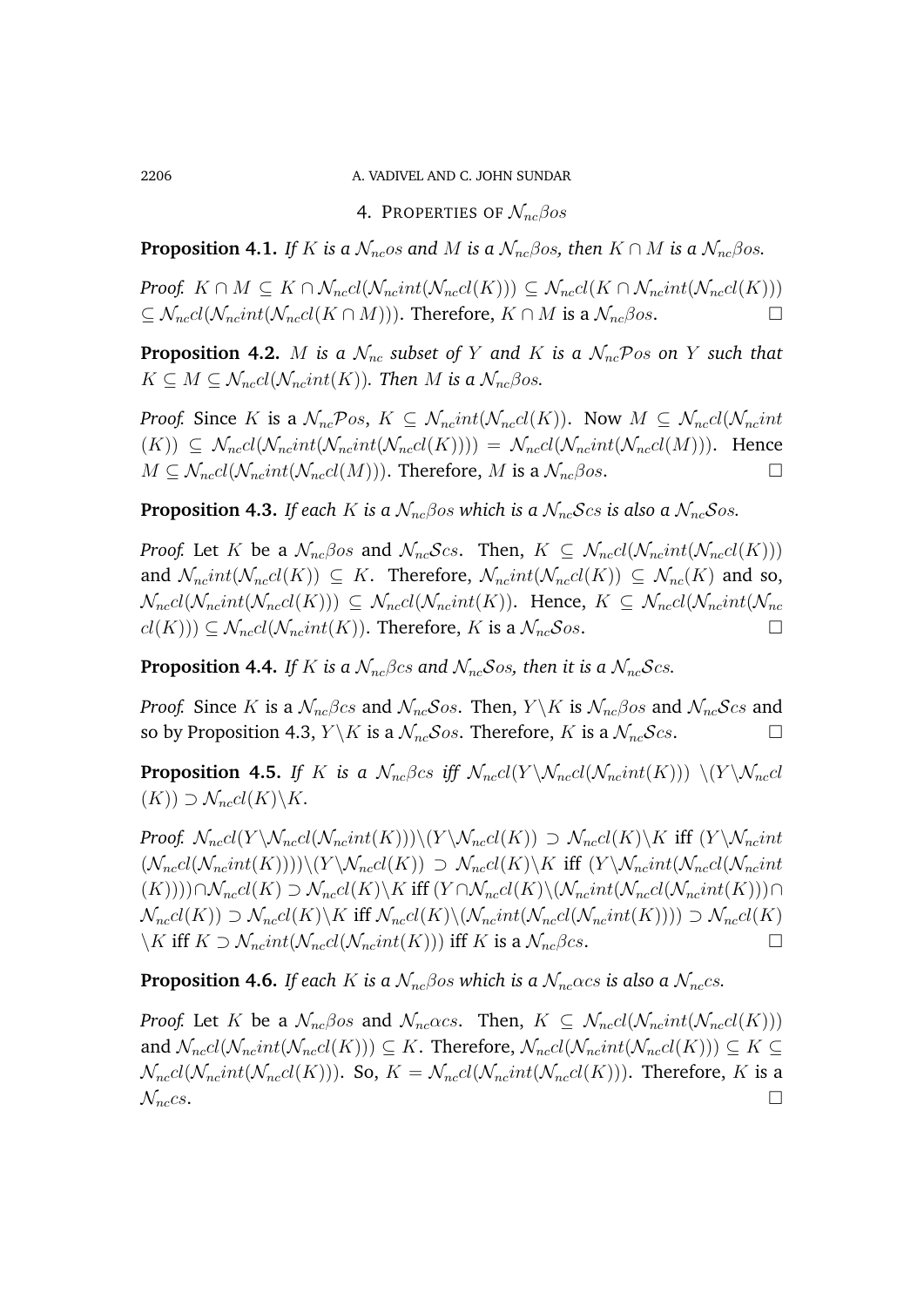2206 A. VADIVEL AND C. JOHN SUNDAR

4. PROPERTIES OF  $\mathcal{N}_{nc}\beta os$ 

**Proposition 4.1.** *If* K *is a*  $\mathcal{N}_{nc}$ *os and* M *is a*  $\mathcal{N}_{nc}$ *βos, then*  $K \cap M$  *is a*  $\mathcal{N}_{nc}$ *βos.* 

*Proof.*  $K \cap M \subseteq K \cap \mathcal{N}_{nccl}(\mathcal{N}_{nc}int(\mathcal{N}_{nc}c l(K))) \subseteq \mathcal{N}_{nccl}(K \cap \mathcal{N}_{nc}int(\mathcal{N}_{nc}c l(K)))$  $\subset \mathcal{N}_{nc}cl(\mathcal{N}_{nc}int(\mathcal{N}_{nc}cl(K \cap M)))$ . Therefore,  $K \cap M$  is a  $\mathcal{N}_{nc}\beta$ os.

**Proposition 4.2.** M *is a*  $\mathcal{N}_{nc}$  *subset of* Y *and* K *is a*  $\mathcal{N}_{nc}$ Pos *on* Y *such that*  $K \subseteq M \subseteq \mathcal{N}_{nc}cl(\mathcal{N}_{nc}int(K))$ . Then M is a  $\mathcal{N}_{nc}\beta$ os.

*Proof.* Since K is a  $\mathcal{N}_{nc}$ Pos,  $K \subseteq \mathcal{N}_{nc}$ int $(\mathcal{N}_{nc}$ cl $(K)$ ). Now  $M \subseteq \mathcal{N}_{nc}$ cl $(\mathcal{N}_{nc}$ int  $(K)$ )  $\subseteq \mathcal{N}_{nc}cl(\mathcal{N}_{nc}int(\mathcal{N}_{nc}int(\mathcal{N}_{nc}cl(K)))) = \mathcal{N}_{nc}cl(\mathcal{N}_{nc}int(\mathcal{N}_{nc}cl(M))).$  Hence  $M \subset \mathcal{N}_{nccl}(\mathcal{N}_{nccl}(M))$ . Therefore, M is a  $\mathcal{N}_{nc}\beta$ os.

**Proposition 4.3.** *If each* K *is a*  $\mathcal{N}_{nc}\beta$ *os which is a*  $\mathcal{N}_{nc}\mathcal{S}$ *cs is also a*  $\mathcal{N}_{nc}\mathcal{S}$ *os.* 

*Proof.* Let K be a  $\mathcal{N}_{nc}\beta$ os and  $\mathcal{N}_{nc}\mathcal{S}$ cs. Then,  $K \subseteq \mathcal{N}_{nc}cl(\mathcal{N}_{nc}int(\mathcal{N}_{nc}cl(K)))$ and  $\mathcal{N}_{nc}int(\mathcal{N}_{nc}cl(K)) \subseteq K$ . Therefore,  $\mathcal{N}_{nc}int(\mathcal{N}_{nc}cl(K)) \subseteq \mathcal{N}_{nc}(K)$  and so,  $\mathcal{N}_{nccl}(\mathcal{N}_{nc}int(\mathcal{N}_{nccl}(K))) \subseteq \mathcal{N}_{nccl}(\mathcal{N}_{nc}int(K))$ . Hence,  $K \subseteq \mathcal{N}_{nccl}(\mathcal{N}_{nc}int(\mathcal{N}_{nc}int(K)))$  $cl(K)) \subseteq \mathcal{N}_{nc}cl(\mathcal{N}_{nc}int(K))$ . Therefore, K is a  $\mathcal{N}_{nc}Sos$ .

**Proposition 4.4.** *If* K *is a*  $\mathcal{N}_{nc}\beta$ *cs and*  $\mathcal{N}_{nc}\delta$ *os, then it is a*  $\mathcal{N}_{nc}\delta$ *cs.* 

*Proof.* Since K is a  $\mathcal{N}_{nc}\beta cs$  and  $\mathcal{N}_{nc}\mathcal{S}os$ . Then,  $Y \backslash K$  is  $\mathcal{N}_{nc}\beta os$  and  $\mathcal{N}_{nc}\mathcal{S}cs$  and so by Proposition 4.3,  $Y \backslash K$  is a  $\mathcal{N}_{nc}$  Sos. Therefore, K is a  $\mathcal{N}_{nc}$  Scs.

**Proposition 4.5.** *If* K *is a*  $\mathcal{N}_{nc}\beta cs$  *iff*  $\mathcal{N}_{nc}cl(Y \setminus \mathcal{N}_{nc}cl(\mathcal{N}_{nc}int(K))) \setminus (Y \setminus \mathcal{N}_{nc}cl(\mathcal{N}_{nc}int(K)))$  $(K)) \supset \mathcal{N}_{nc}cl(K)\backslash K$ .

*Proof.*  $\mathcal{N}_{nc}cl(Y \setminus \mathcal{N}_{nc}cl(\mathcal{N}_{nc}int(K)))\setminus (Y \setminus \mathcal{N}_{nc}cl(K)) \supset \mathcal{N}_{nc}cl(K)\setminus K$  iff  $(Y \setminus \mathcal{N}_{nc}int(K))$  $(\mathcal{N}_{nc}d(\mathcal{N}_{nc}int(K))))\setminus (Y\setminus \mathcal{N}_{nc}d(K)) \supset \mathcal{N}_{nc}d(K)\setminus K$  iff  $(Y\setminus \mathcal{N}_{nc}int(\mathcal{N}_{nc}int(K)))$  $(K))$ ))∩ $\mathcal{N}_{nc}cl(K) \supset \mathcal{N}_{nc}cl(K)\backslash K$  iff  $(Y \cap \mathcal{N}_{nc}cl(K)\backslash(\mathcal{N}_{nc}int(\mathcal{N}_{nc}cl(\mathcal{N}_{nc}int(K)))\cap K$  $\mathcal{N}_{nc}cl(K)$   $\supset \mathcal{N}_{nc}cl(K)\backslash K$  iff  $\mathcal{N}_{nc}cl(K)\backslash(\mathcal{N}_{nc}int(\mathcal{N}_{nc}int(K)))) \supset \mathcal{N}_{nc}cl(K)$  $\setminus K$  iff  $K \supset \mathcal{N}_{nc} int(\mathcal{N}_{nc} ln(t(K)))$  iff K is a  $\mathcal{N}_{nc} \beta c s$ .

**Proposition 4.6.** *If each* K *is a*  $\mathcal{N}_{nc}\beta$ *os which is a*  $\mathcal{N}_{nc}\alpha$ *cs is also a*  $\mathcal{N}_{nc}$ *cs.* 

*Proof.* Let K be a  $\mathcal{N}_{nc}\beta$ os and  $\mathcal{N}_{nc}\alpha$ cs. Then,  $K \subseteq \mathcal{N}_{nc}cl(\mathcal{N}_{nc}int(\mathcal{N}_{nc}cl(K)))$ and  $\mathcal{N}_{nc}cl(\mathcal{N}_{nc}int(\mathcal{N}_{nc}cl(K))) \subseteq K$ . Therefore,  $\mathcal{N}_{nc}cl(\mathcal{N}_{nc}int(\mathcal{N}_{nc}cl(K))) \subseteq K$  $\mathcal{N}_{nc}cl(\mathcal{N}_{nc}int(\mathcal{N}_{nc}cl(K)))$ . So,  $K = \mathcal{N}_{nc}cl(\mathcal{N}_{nc}int(\mathcal{N}_{nc}cl(K)))$ . Therefore, K is a  $\mathcal{N}_{nc}$ cs.